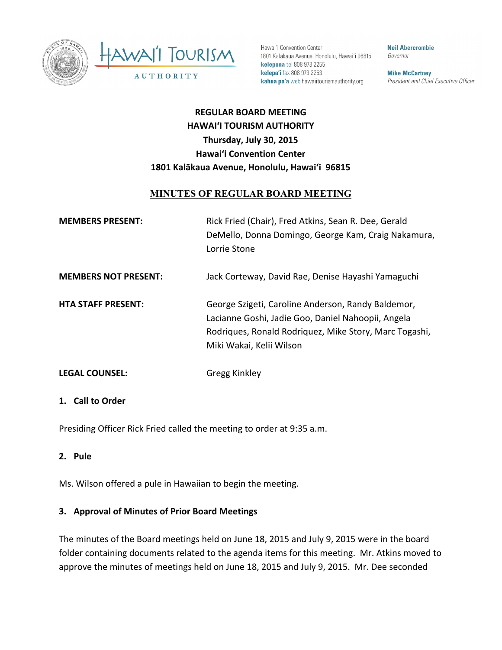



Hawai'i Convention Center 1801 Kalākaua Avenue, Honolulu, Hawai'i 96815 kelepona tel 808 973 2255 kelepa'i fax 808 973 2253 kahua pa'a web hawaiitourismauthority.org

**Neil Abercrombie** Governor

**Mike McCartney** President and Chief Executive Officer

# **REGULAR BOARD MEETING HAWAI'I TOURISM AUTHORITY Thursday, July 30, 2015 Hawai'i Convention Center** 1801 Kalākaua Avenue, Honolulu, Hawai'i 96815

# **MINUTES OF REGULAR BOARD MEETING**

| <b>MEMBERS PRESENT:</b>     | Rick Fried (Chair), Fred Atkins, Sean R. Dee, Gerald<br>DeMello, Donna Domingo, George Kam, Craig Nakamura,<br>Lorrie Stone |
|-----------------------------|-----------------------------------------------------------------------------------------------------------------------------|
| <b>MEMBERS NOT PRESENT:</b> | Jack Corteway, David Rae, Denise Hayashi Yamaguchi                                                                          |

**HTA STAFF PRESENT:** George Szigeti, Caroline Anderson, Randy Baldemor, Lacianne Goshi, Jadie Goo, Daniel Nahoopii, Angela Rodriques, Ronald Rodriquez, Mike Story, Marc Togashi, Miki Wakai, Kelii Wilson

**LEGAL COUNSEL:** Gregg Kinkley

#### 1. **Call to Order**

Presiding Officer Rick Fried called the meeting to order at 9:35 a.m.

#### **2. Pule**

Ms. Wilson offered a pule in Hawaiian to begin the meeting.

### **3. Approval of Minutes of Prior Board Meetings**

The minutes of the Board meetings held on June 18, 2015 and July 9, 2015 were in the board folder containing documents related to the agenda items for this meeting. Mr. Atkins moved to approve the minutes of meetings held on June 18, 2015 and July 9, 2015. Mr. Dee seconded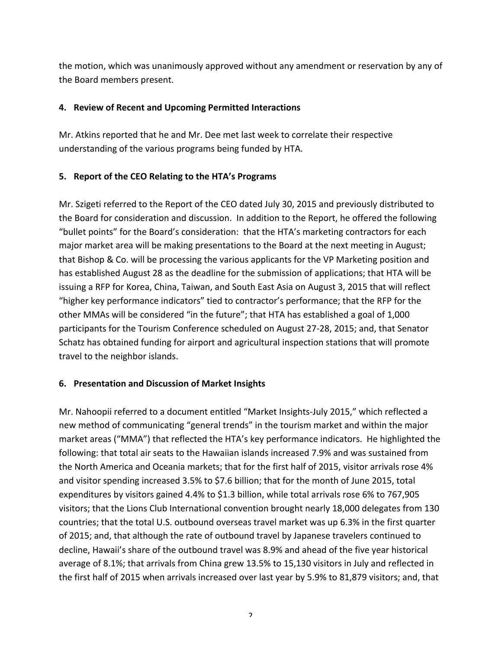the motion, which was unanimously approved without any amendment or reservation by any of the Board members present.

### **4. Review of Recent and Upcoming Permitted Interactions**

Mr. Atkins reported that he and Mr. Dee met last week to correlate their respective understanding of the various programs being funded by HTA.

# **5.** Report of the CEO Relating to the HTA's Programs

Mr. Szigeti referred to the Report of the CEO dated July 30, 2015 and previously distributed to the Board for consideration and discussion. In addition to the Report, he offered the following "bullet points" for the Board's consideration: that the HTA's marketing contractors for each major market area will be making presentations to the Board at the next meeting in August; that Bishop & Co. will be processing the various applicants for the VP Marketing position and has established August 28 as the deadline for the submission of applications; that HTA will be issuing a RFP for Korea, China, Taiwan, and South East Asia on August 3, 2015 that will reflect "higher key performance indicators" tied to contractor's performance; that the RFP for the other MMAs will be considered "in the future"; that HTA has established a goal of 1,000 participants for the Tourism Conference scheduled on August 27-28, 2015; and, that Senator Schatz has obtained funding for airport and agricultural inspection stations that will promote travel to the neighbor islands.

# **6. Presentation and Discussion of Market Insights**

Mr. Nahoopii referred to a document entitled "Market Insights-July 2015," which reflected a new method of communicating "general trends" in the tourism market and within the major market areas ("MMA") that reflected the HTA's key performance indicators. He highlighted the following: that total air seats to the Hawaiian islands increased 7.9% and was sustained from the North America and Oceania markets; that for the first half of 2015, visitor arrivals rose 4% and visitor spending increased 3.5% to \$7.6 billion; that for the month of June 2015, total expenditures by visitors gained 4.4% to \$1.3 billion, while total arrivals rose 6% to 767,905 visitors; that the Lions Club International convention brought nearly 18,000 delegates from 130 countries; that the total U.S. outbound overseas travel market was up 6.3% in the first quarter of 2015; and, that although the rate of outbound travel by Japanese travelers continued to decline, Hawaii's share of the outbound travel was 8.9% and ahead of the five year historical average of 8.1%; that arrivals from China grew 13.5% to 15,130 visitors in July and reflected in the first half of 2015 when arrivals increased over last year by 5.9% to 81,879 visitors; and, that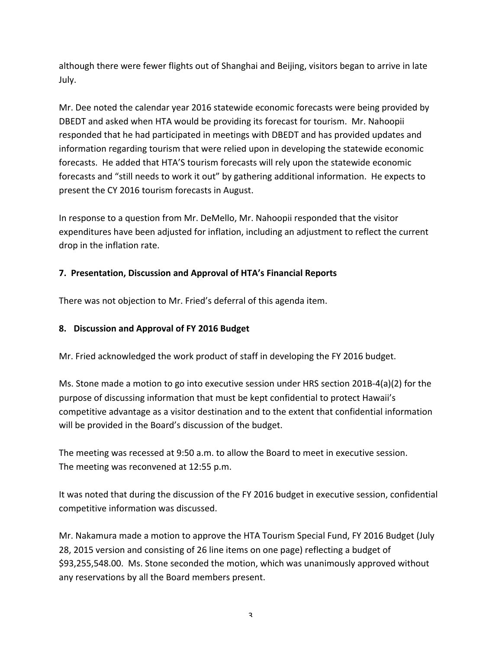although there were fewer flights out of Shanghai and Beijing, visitors began to arrive in late July.

Mr. Dee noted the calendar year 2016 statewide economic forecasts were being provided by DBEDT and asked when HTA would be providing its forecast for tourism. Mr. Nahoopii responded that he had participated in meetings with DBEDT and has provided updates and information regarding tourism that were relied upon in developing the statewide economic forecasts. He added that HTA'S tourism forecasts will rely upon the statewide economic forecasts and "still needs to work it out" by gathering additional information. He expects to present the CY 2016 tourism forecasts in August.

In response to a question from Mr. DeMello, Mr. Nahoopii responded that the visitor expenditures have been adjusted for inflation, including an adjustment to reflect the current drop in the inflation rate.

# **7. Presentation, Discussion and Approval of HTA's Financial Reports**

There was not objection to Mr. Fried's deferral of this agenda item.

### **8. Discussion and Approval of FY 2016 Budget**

Mr. Fried acknowledged the work product of staff in developing the FY 2016 budget.

Ms. Stone made a motion to go into executive session under HRS section 201B-4(a)(2) for the purpose of discussing information that must be kept confidential to protect Hawaii's competitive advantage as a visitor destination and to the extent that confidential information will be provided in the Board's discussion of the budget.

The meeting was recessed at 9:50 a.m. to allow the Board to meet in executive session. The meeting was reconvened at 12:55 p.m.

It was noted that during the discussion of the FY 2016 budget in executive session, confidential competitive information was discussed.

Mr. Nakamura made a motion to approve the HTA Tourism Special Fund, FY 2016 Budget (July 28, 2015 version and consisting of 26 line items on one page) reflecting a budget of \$93,255,548.00. Ms. Stone seconded the motion, which was unanimously approved without any reservations by all the Board members present.